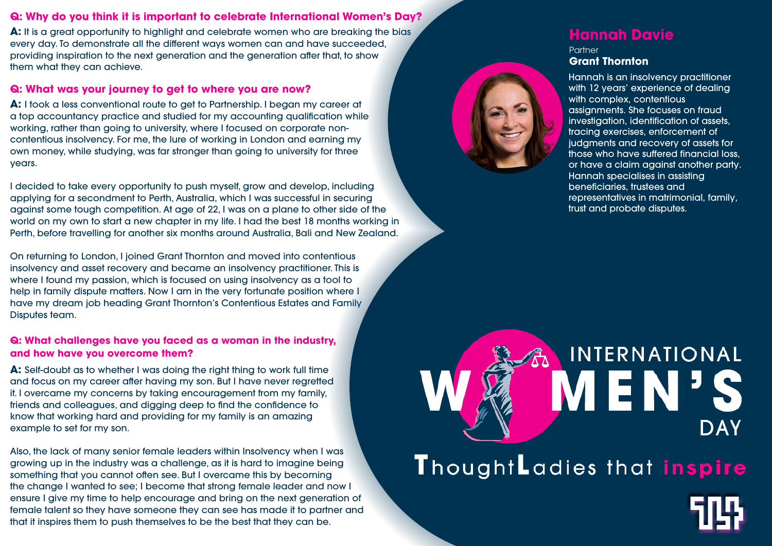# **Q: Why do you think it is important to celebrate International Women's Day?**

A: It is a great opportunity to highlight and celebrate women who are breaking the bias every day. To demonstrate all the different ways women can and have succeeded, providing inspiration to the next generation and the generation after that, to show them what they can achieve.

### **Q: What was your journey to get to where you are now?**

**A:** I took a less conventional route to get to Partnership. I began my career at a top accountancy practice and studied for my accounting qualification while working, rather than going to university, where I focused on corporate noncontentious insolvency. For me, the lure of working in London and earning my own money, while studying, was far stronger than going to university for three years.

I decided to take every opportunity to push myself, grow and develop, including applying for a secondment to Perth, Australia, which I was successful in securing against some tough competition. At age of 22, I was on a plane to other side of the world on my own to start a new chapter in my life. I had the best 18 months working in Perth, before travelling for another six months around Australia, Bali and New Zealand.

**Partner Grant Thornton** 

On returning to London, I joined Grant Thornton and moved into contentious insolvency and asset recovery and became an insolvency practitioner. This is where I found my passion, which is focused on using insolvency as a tool to help in family dispute matters. Now I am in the very fortunate position where I have my dream job heading Grant Thornton's Contentious Estates and Family Disputes team.

## **Q: What challenges have you faced as a woman in the industry, and how have you overcome them?**

**A:** Self-doubt as to whether I was doing the right thing to work full time and focus on my career after having my son. But I have never regretted it. I overcame my concerns by taking encouragement from my family, friends and colleagues, and digging deep to find the confidence to know that working hard and providing for my family is an amazing example to set for my son.

Also, the lack of many senior female leaders within Insolvency when I was growing up in the industry was a challenge, as it is hard to imagine being something that you cannot often see. But I overcame this by becoming the change I wanted to see; I become that strong female leader and now I ensure I give my time to help encourage and bring on the next generation of female talent so they have someone they can see has made it to partner and that it inspires them to push themselves to be the best that they can be.

# INTERNATIONAL **VEN DAY** ThoughtLadies that inspire

# **Hannah Davie**

Hannah is an insolvency practitioner with 12 years' experience of dealing with complex, contentious assignments. She focuses on fraud investigation, identification of assets, tracing exercises, enforcement of judgments and recovery of assets for those who have suffered financial loss, or have a claim against another party. Hannah specialises in assisting beneficiaries, trustees and representatives in matrimonial, family, trust and probate disputes.